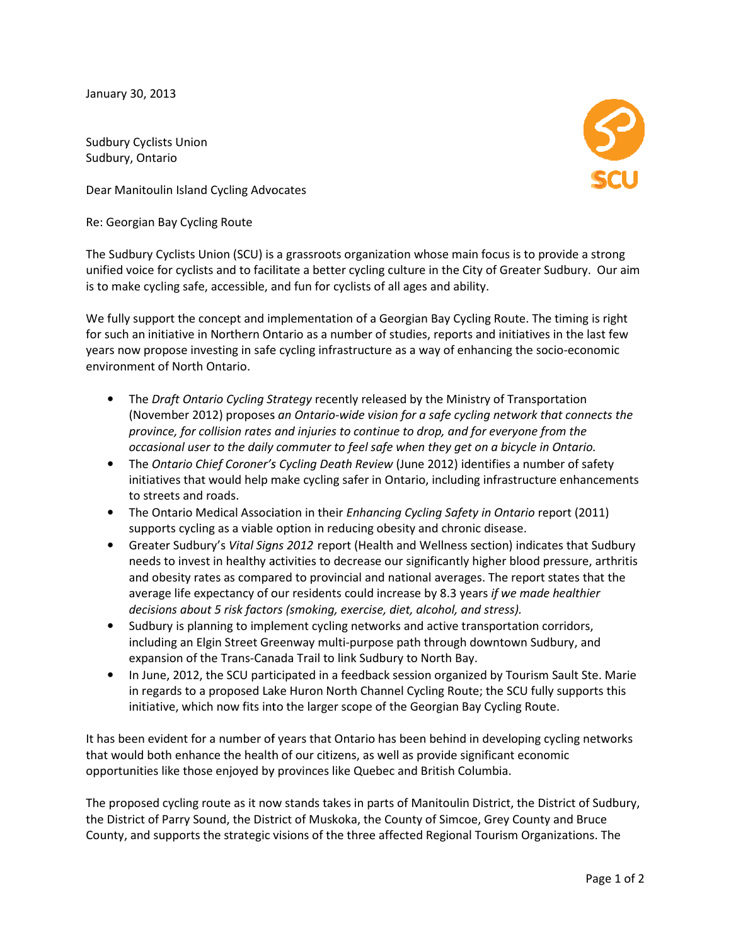January 30, 2013

Sudbury Cyclists Union Sudbury, Ontario

Dear Manitoulin Island Cycling Advocates Manitoulin Island

Re: Georgian Bay Cycling Route

The Sudbury Cyclists Union (SCU) is a grassroots organization whose main focus is to provide a strong The Sudbury Cyclists Union (SCU) is a grassroots organization whose main focus is to provide a strong<br>unified voice for cyclists and to facilitate a better cycling culture in the City of Greater Sudbury. Our aim is to make cycling safe, accessible, and fun for cyclists of all ages and ability.

We fully support the concept and implementation of a Georgian Bay Cycling Route. The timing is right We fully support the concept and implementation of a Georgian Bay Cycling Route. The timing is right<br>for such an initiative in Northern Ontario as a number of studies, reports and initiatives in the last few years now propose investing in safe cycling infrastructure as a way of enhancing the socio-economic environment of North Ontario.

- The Draft Ontario Cycling Strategy recently released by the Ministry of Transportation (November 2012) proposes an Ontario-wide vision for a safe cycling network that connects the province, for collision rates and injuries to continue to drop, and for everyone from the occasional user to the daily commuter to feel safe when they get on a bicycle in Ontario. province, for collision rates and injuries to continue to drop, and for everyone from the<br>occasional user to the daily commuter to feel safe when they get on a bicycle in Ontario.<br>The Ontario Chief Coroner's Cycling Death
- initiatives that would help make cycling safer in Ontario, including infrastructure enhancements to streets and roads. initiatives that would help make cycling safer in Ontario, including infrastructure enhancem<br>to streets and roads.<br>The Ontario Medical Association in their *Enhancing Cycling Safety in Ontario* report (2011) ntifies a number of safety<br>g infrastructure enhanceme<br>*in Ontario* report (2011)
- supports cycling as a viable option in reducing obesity and chronic disease.
- **•** Greater Sudbury's Vital Signs 2012 report (Health and Wellness section) indicates that Sudbury needs to invest in healthy activities to decrease our significantly higher blood pressure, arthritis and obesity rates as compared to provincial and national averages. The report states that the average life expectancy of our residents could increase by 8.3 years if we made healthier decisions about 5 risk factors (smoking, exercise, diet, alcohol, and stress).
- Sudbury is planning to implement cycling networks and active transportation corridors, Sudbury is planning to implement cycling networks and active transportation corridors,<br>including an Elgin Street Greenway multi-purpose path through downtown Sudbury, and expansion of the Trans-Canada Trail to link Sudbury to North Bay.
- In June, 2012, the SCU participated in a feedback session organized by Tourism Sault Ste. Marie in regards to a proposed Lake Huron North Channel Cycling Route; the SCU fully supports this initiative, which now fits into the larger scope of the Georgian Bay Cycling Route. In of the Trans-Canada Trail to link Sudbury to North Bay.<br>
012, the SCU participated in a feedback session organized by Tourism Sa<br>
is to a proposed Lake Huron North Channel Cycling Route; the SCU fully s<br>
which now fits an Elgin Street Greenway multi-purpose path through downtown Sudbury, and<br>of the Trans-Canada Trail to link Sudbury to North Bay.<br>012, the SCU participated in a feedback session organized by Tourism Sault Ste. Marie<br>to a p

It has been evident for a number of years that Ontario has been behind in developing cycling networks<br>that would both enhance the health of our citizens, as well as provide significant economic<br>opportunities like those enj that would both enhance the health of our citizens, as well as provide significant economic opportunities like those enjoyed by provinces like Quebec and British Columbia.

The proposed cycling route as it now stands takes in parts of Manitoulin District, the District of Sudbury, the District of Parry Sound, the District of Muskoka, the County of Simcoe, Grey County and Bruce the District of Parry Sound, the District of Muskoka, the County of Simcoe, Grey County and Brud<br>County, and supports the strategic visions of the three affected Regional Tourism Organizations.